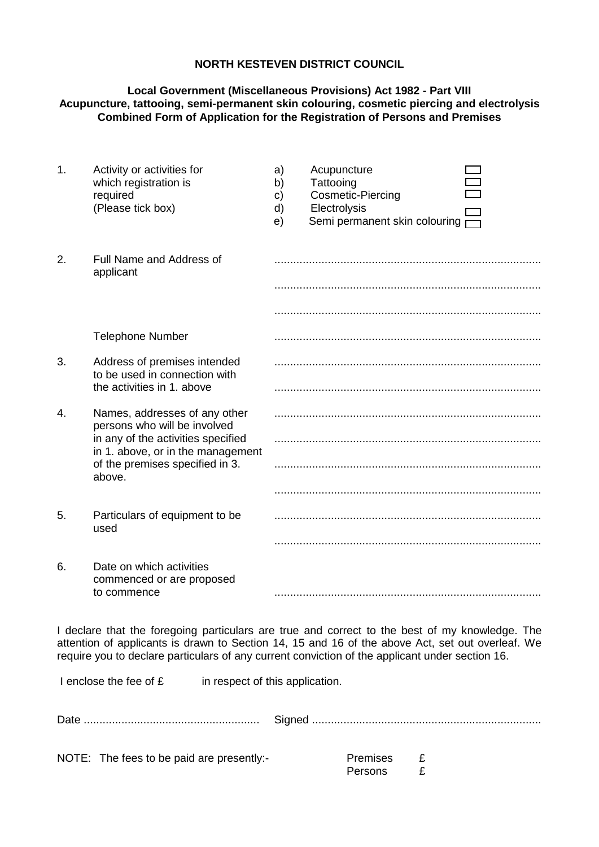## **NORTH KESTEVEN DISTRICT COUNCIL**

## **Local Government (Miscellaneous Provisions) Act 1982 - Part VIII Acupuncture, tattooing, semi-permanent skin colouring, cosmetic piercing and electrolysis Combined Form of Application for the Registration of Persons and Premises**

| 1. | Activity or activities for<br>which registration is<br>required<br>(Please tick box)                                                                                                  | a)<br>b)<br>$\mathbf{c}$<br>d)<br>e) | Acupuncture<br>Tattooing<br>Cosmetic-Piercing<br>Electrolysis<br>Semi permanent skin colouring $\Box$ |
|----|---------------------------------------------------------------------------------------------------------------------------------------------------------------------------------------|--------------------------------------|-------------------------------------------------------------------------------------------------------|
| 2. | Full Name and Address of<br>applicant                                                                                                                                                 |                                      |                                                                                                       |
|    |                                                                                                                                                                                       |                                      |                                                                                                       |
|    |                                                                                                                                                                                       |                                      |                                                                                                       |
|    | <b>Telephone Number</b>                                                                                                                                                               |                                      |                                                                                                       |
| 3. | Address of premises intended<br>to be used in connection with<br>the activities in 1, above                                                                                           |                                      |                                                                                                       |
|    |                                                                                                                                                                                       |                                      |                                                                                                       |
| 4. | Names, addresses of any other<br>persons who will be involved<br>in any of the activities specified<br>in 1. above, or in the management<br>of the premises specified in 3.<br>above. |                                      |                                                                                                       |
|    |                                                                                                                                                                                       |                                      |                                                                                                       |
|    |                                                                                                                                                                                       |                                      |                                                                                                       |
|    |                                                                                                                                                                                       |                                      |                                                                                                       |
| 5. | Particulars of equipment to be<br>used                                                                                                                                                |                                      |                                                                                                       |
|    |                                                                                                                                                                                       |                                      |                                                                                                       |
| 6. | Date on which activities<br>commenced or are proposed<br>to commence                                                                                                                  |                                      |                                                                                                       |
|    |                                                                                                                                                                                       |                                      |                                                                                                       |

I declare that the foregoing particulars are true and correct to the best of my knowledge. The attention of applicants is drawn to Section 14, 15 and 16 of the above Act, set out overleaf. We require you to declare particulars of any current conviction of the applicant under section 16.

I enclose the fee of  $E$  in respect of this application.

| NOTE: The fees to be paid are presently:- | Premises £<br>Persons £ |  |
|-------------------------------------------|-------------------------|--|